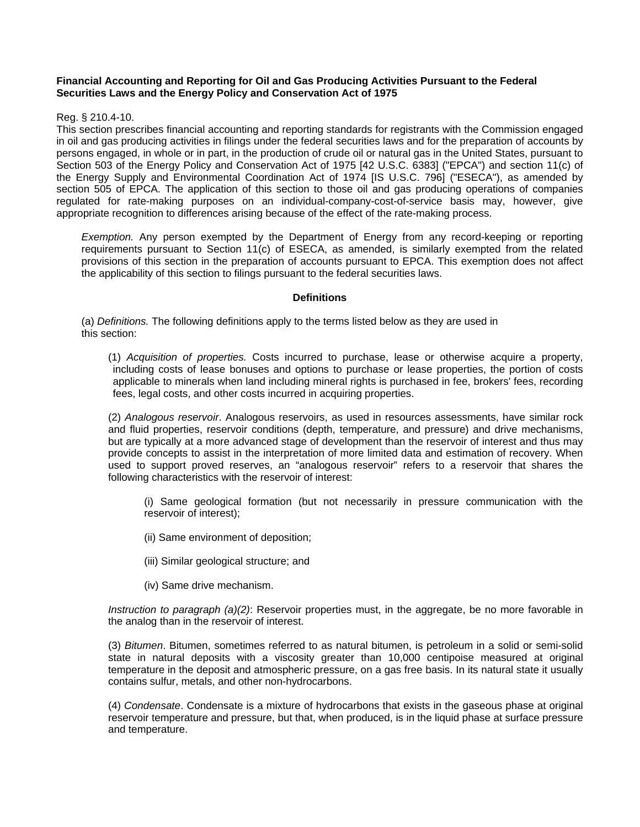## **Financial Accounting and Reporting for Oil and Gas Producing Activities Pursuant to the Federal Securities Laws and the Energy Policy and Conservation Act of 1975**

Reg. § 210.4-10.

This section prescribes financial accounting and reporting standards for registrants with the Commission engaged in oil and gas producing activities in filings under the federal securities laws and for the preparation of accounts by persons engaged, in whole or in part, in the production of crude oil or natural gas in the United States, pursuant to Section 503 of the Energy Policy and Conservation Act of 1975 [42 U.S.C. 6383] ("EPCA") and section 11(c) of the Energy Supply and Environmental Coordination Act of 1974 [IS U.S.C. 796] ("ESECA"), as amended by section 505 of EPCA. The application of this section to those oil and gas producing operations of companies regulated for rate-making purposes on an individual-company-cost-of-service basis may, however, give appropriate recognition to differences arising because of the effect of the rate-making process.

*Exemption.* Any person exempted by the Department of Energy from any record-keeping or reporting requirements pursuant to Section 11(c) of ESECA, as amended, is similarly exempted from the related provisions of this section in the preparation of accounts pursuant to EPCA. This exemption does not affect the applicability of this section to filings pursuant to the federal securities laws.

### **Definitions**

(a) *Definitions.* The following definitions apply to the terms listed below as they are used in this section:

(1) *Acquisition of properties.* Costs incurred to purchase, lease or otherwise acquire a property, including costs of lease bonuses and options to purchase or lease properties, the portion of costs applicable to minerals when land including mineral rights is purchased in fee, brokers' fees, recording fees, legal costs, and other costs incurred in acquiring properties.

(2) *Analogous reservoir*. Analogous reservoirs, as used in resources assessments, have similar rock and fluid properties, reservoir conditions (depth, temperature, and pressure) and drive mechanisms, but are typically at a more advanced stage of development than the reservoir of interest and thus may provide concepts to assist in the interpretation of more limited data and estimation of recovery. When used to support proved reserves, an "analogous reservoir" refers to a reservoir that shares the following characteristics with the reservoir of interest:

(i) Same geological formation (but not necessarily in pressure communication with the reservoir of interest);

- (ii) Same environment of deposition;
- (iii) Similar geological structure; and
- (iv) Same drive mechanism.

*Instruction to paragraph (a)(2)*: Reservoir properties must, in the aggregate, be no more favorable in the analog than in the reservoir of interest.

(3) *Bitumen*. Bitumen, sometimes referred to as natural bitumen, is petroleum in a solid or semi-solid state in natural deposits with a viscosity greater than 10,000 centipoise measured at original temperature in the deposit and atmospheric pressure, on a gas free basis. In its natural state it usually contains sulfur, metals, and other non-hydrocarbons.

(4) *Condensate*. Condensate is a mixture of hydrocarbons that exists in the gaseous phase at original reservoir temperature and pressure, but that, when produced, is in the liquid phase at surface pressure and temperature.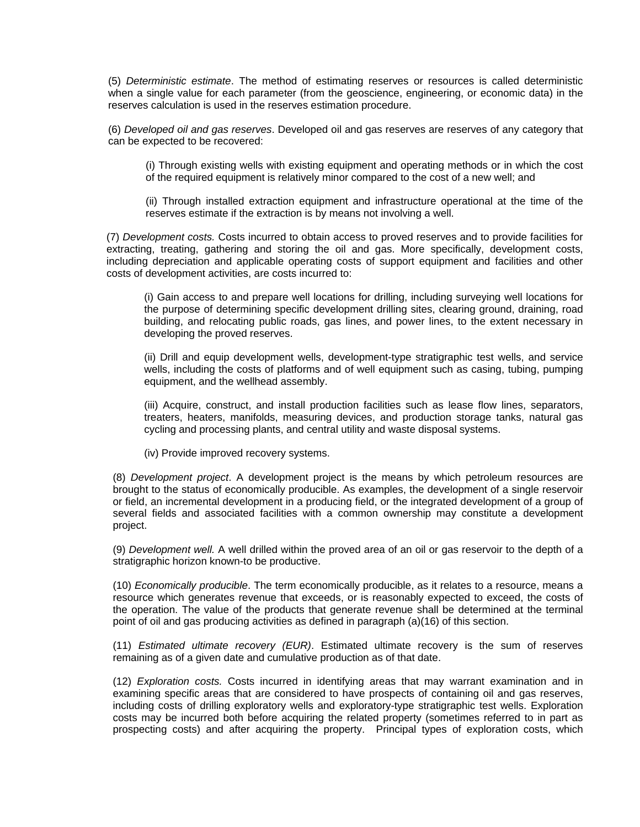(5) *Deterministic estimate*. The method of estimating reserves or resources is called deterministic when a single value for each parameter (from the geoscience, engineering, or economic data) in the reserves calculation is used in the reserves estimation procedure.

(6) *Developed oil and gas reserves*. Developed oil and gas reserves are reserves of any category that can be expected to be recovered:

(i) Through existing wells with existing equipment and operating methods or in which the cost of the required equipment is relatively minor compared to the cost of a new well; and

(ii) Through installed extraction equipment and infrastructure operational at the time of the reserves estimate if the extraction is by means not involving a well.

(7) *Development costs.* Costs incurred to obtain access to proved reserves and to provide facilities for extracting, treating, gathering and storing the oil and gas. More specifically, development costs, including depreciation and applicable operating costs of support equipment and facilities and other costs of development activities, are costs incurred to:

(i) Gain access to and prepare well locations for drilling, including surveying well locations for the purpose of determining specific development drilling sites, clearing ground, draining, road building, and relocating public roads, gas lines, and power lines, to the extent necessary in developing the proved reserves.

(ii) Drill and equip development wells, development-type stratigraphic test wells, and service wells, including the costs of platforms and of well equipment such as casing, tubing, pumping equipment, and the wellhead assembly.

(iii) Acquire, construct, and install production facilities such as lease flow lines, separators, treaters, heaters, manifolds, measuring devices, and production storage tanks, natural gas cycling and processing plants, and central utility and waste disposal systems.

(iv) Provide improved recovery systems.

(8) *Development project*. A development project is the means by which petroleum resources are brought to the status of economically producible. As examples, the development of a single reservoir or field, an incremental development in a producing field, or the integrated development of a group of several fields and associated facilities with a common ownership may constitute a development project.

(9) *Development well.* A well drilled within the proved area of an oil or gas reservoir to the depth of a stratigraphic horizon known-to be productive.

(10) *Economically producible*. The term economically producible, as it relates to a resource, means a resource which generates revenue that exceeds, or is reasonably expected to exceed, the costs of the operation. The value of the products that generate revenue shall be determined at the terminal point of oil and gas producing activities as defined in paragraph (a)(16) of this section.

(11) *Estimated ultimate recovery (EUR)*. Estimated ultimate recovery is the sum of reserves remaining as of a given date and cumulative production as of that date.

(12) *Exploration costs.* Costs incurred in identifying areas that may warrant examination and in examining specific areas that are considered to have prospects of containing oil and gas reserves, including costs of drilling exploratory wells and exploratory-type stratigraphic test wells. Exploration costs may be incurred both before acquiring the related property (sometimes referred to in part as prospecting costs) and after acquiring the property. Principal types of exploration costs, which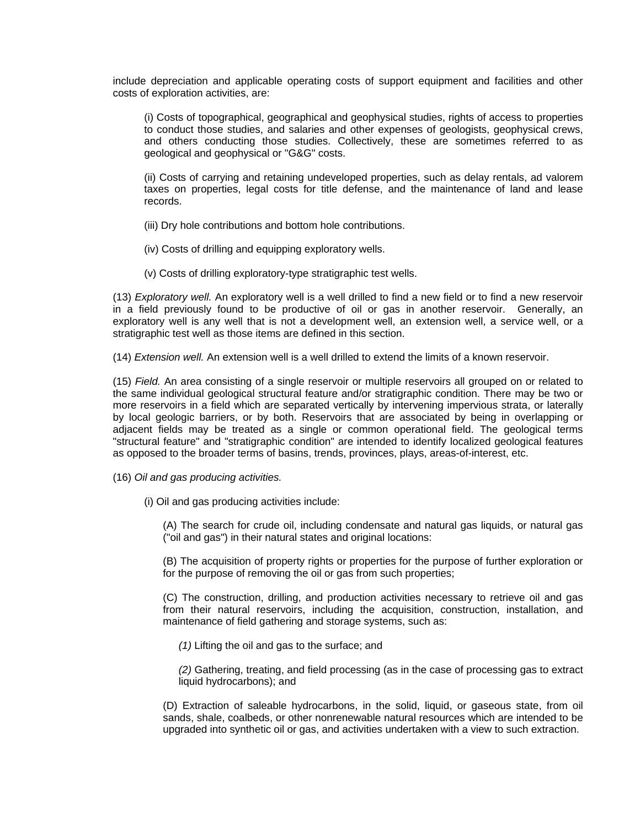include depreciation and applicable operating costs of support equipment and facilities and other costs of exploration activities, are:

(i) Costs of topographical, geographical and geophysical studies, rights of access to properties to conduct those studies, and salaries and other expenses of geologists, geophysical crews, and others conducting those studies. Collectively, these are sometimes referred to as geological and geophysical or "G&G" costs.

(ii) Costs of carrying and retaining undeveloped properties, such as delay rentals, ad valorem taxes on properties, legal costs for title defense, and the maintenance of land and lease records.

- (iii) Dry hole contributions and bottom hole contributions.
- (iv) Costs of drilling and equipping exploratory wells.
- (v) Costs of drilling exploratory-type stratigraphic test wells.

(13) *Exploratory well.* An exploratory well is a well drilled to find a new field or to find a new reservoir in a field previously found to be productive of oil or gas in another reservoir. Generally, an exploratory well is any well that is not a development well, an extension well, a service well, or a stratigraphic test well as those items are defined in this section.

(14) *Extension well.* An extension well is a well drilled to extend the limits of a known reservoir.

(15) *Field.* An area consisting of a single reservoir or multiple reservoirs all grouped on or related to the same individual geological structural feature and/or stratigraphic condition. There may be two or more reservoirs in a field which are separated vertically by intervening impervious strata, or laterally by local geologic barriers, or by both. Reservoirs that are associated by being in overlapping or adjacent fields may be treated as a single or common operational field. The geological terms "structural feature" and "stratigraphic condition" are intended to identify localized geological features as opposed to the broader terms of basins, trends, provinces, plays, areas-of-interest, etc.

(16) *Oil and gas producing activities.* 

(i) Oil and gas producing activities include:

(A) The search for crude oil, including condensate and natural gas liquids, or natural gas ("oil and gas") in their natural states and original locations:

(B) The acquisition of property rights or properties for the purpose of further exploration or for the purpose of removing the oil or gas from such properties;

(C) The construction, drilling, and production activities necessary to retrieve oil and gas from their natural reservoirs, including the acquisition, construction, installation, and maintenance of field gathering and storage systems, such as:

*(1)* Lifting the oil and gas to the surface; and

*(2)* Gathering, treating, and field processing (as in the case of processing gas to extract liquid hydrocarbons); and

(D) Extraction of saleable hydrocarbons, in the solid, liquid, or gaseous state, from oil sands, shale, coalbeds, or other nonrenewable natural resources which are intended to be upgraded into synthetic oil or gas, and activities undertaken with a view to such extraction.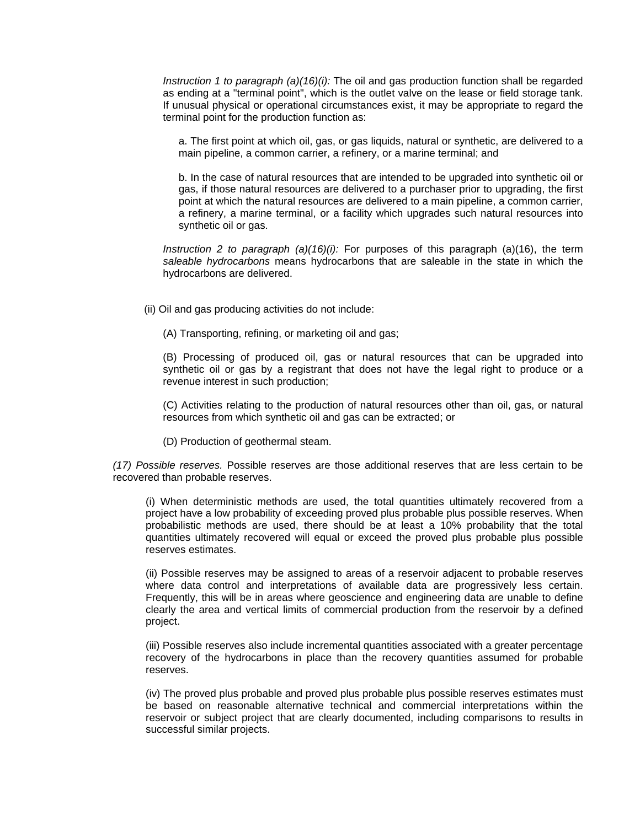*Instruction 1 to paragraph (a)(16)(i):* The oil and gas production function shall be regarded as ending at a "terminal point", which is the outlet valve on the lease or field storage tank. If unusual physical or operational circumstances exist, it may be appropriate to regard the terminal point for the production function as:

a. The first point at which oil, gas, or gas liquids, natural or synthetic, are delivered to a main pipeline, a common carrier, a refinery, or a marine terminal; and

b. In the case of natural resources that are intended to be upgraded into synthetic oil or gas, if those natural resources are delivered to a purchaser prior to upgrading, the first point at which the natural resources are delivered to a main pipeline, a common carrier, a refinery, a marine terminal, or a facility which upgrades such natural resources into synthetic oil or gas.

*Instruction 2 to paragraph (a)(16)(i):* For purposes of this paragraph (a)(16), the term *saleable hydrocarbons* means hydrocarbons that are saleable in the state in which the hydrocarbons are delivered.

- (ii) Oil and gas producing activities do not include:
	- (A) Transporting, refining, or marketing oil and gas;

(B) Processing of produced oil, gas or natural resources that can be upgraded into synthetic oil or gas by a registrant that does not have the legal right to produce or a revenue interest in such production;

(C) Activities relating to the production of natural resources other than oil, gas, or natural resources from which synthetic oil and gas can be extracted; or

(D) Production of geothermal steam.

*(17) Possible reserves.* Possible reserves are those additional reserves that are less certain to be recovered than probable reserves.

(i) When deterministic methods are used, the total quantities ultimately recovered from a project have a low probability of exceeding proved plus probable plus possible reserves. When probabilistic methods are used, there should be at least a 10% probability that the total quantities ultimately recovered will equal or exceed the proved plus probable plus possible reserves estimates.

(ii) Possible reserves may be assigned to areas of a reservoir adjacent to probable reserves where data control and interpretations of available data are progressively less certain. Frequently, this will be in areas where geoscience and engineering data are unable to define clearly the area and vertical limits of commercial production from the reservoir by a defined project.

(iii) Possible reserves also include incremental quantities associated with a greater percentage recovery of the hydrocarbons in place than the recovery quantities assumed for probable reserves.

(iv) The proved plus probable and proved plus probable plus possible reserves estimates must be based on reasonable alternative technical and commercial interpretations within the reservoir or subject project that are clearly documented, including comparisons to results in successful similar projects.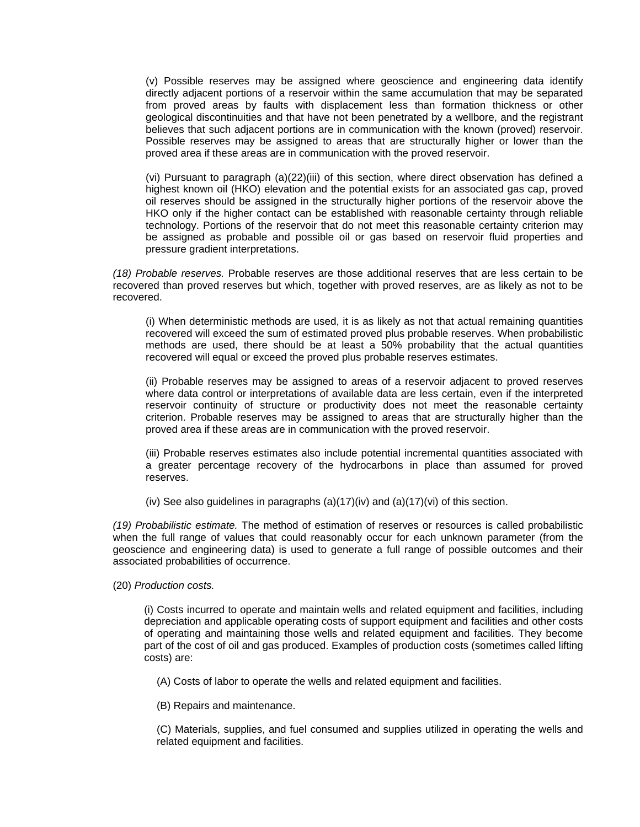(v) Possible reserves may be assigned where geoscience and engineering data identify directly adjacent portions of a reservoir within the same accumulation that may be separated from proved areas by faults with displacement less than formation thickness or other geological discontinuities and that have not been penetrated by a wellbore, and the registrant believes that such adjacent portions are in communication with the known (proved) reservoir. Possible reserves may be assigned to areas that are structurally higher or lower than the proved area if these areas are in communication with the proved reservoir.

(vi) Pursuant to paragraph (a)(22)(iii) of this section, where direct observation has defined a highest known oil (HKO) elevation and the potential exists for an associated gas cap, proved oil reserves should be assigned in the structurally higher portions of the reservoir above the HKO only if the higher contact can be established with reasonable certainty through reliable technology. Portions of the reservoir that do not meet this reasonable certainty criterion may be assigned as probable and possible oil or gas based on reservoir fluid properties and pressure gradient interpretations.

*(18) Probable reserves.* Probable reserves are those additional reserves that are less certain to be recovered than proved reserves but which, together with proved reserves, are as likely as not to be recovered.

(i) When deterministic methods are used, it is as likely as not that actual remaining quantities recovered will exceed the sum of estimated proved plus probable reserves. When probabilistic methods are used, there should be at least a 50% probability that the actual quantities recovered will equal or exceed the proved plus probable reserves estimates.

(ii) Probable reserves may be assigned to areas of a reservoir adjacent to proved reserves where data control or interpretations of available data are less certain, even if the interpreted reservoir continuity of structure or productivity does not meet the reasonable certainty criterion. Probable reserves may be assigned to areas that are structurally higher than the proved area if these areas are in communication with the proved reservoir.

(iii) Probable reserves estimates also include potential incremental quantities associated with a greater percentage recovery of the hydrocarbons in place than assumed for proved reserves.

(iv) See also guidelines in paragraphs (a)(17)(iv) and (a)(17)(vi) of this section.

*(19) Probabilistic estimate.* The method of estimation of reserves or resources is called probabilistic when the full range of values that could reasonably occur for each unknown parameter (from the geoscience and engineering data) is used to generate a full range of possible outcomes and their associated probabilities of occurrence.

(20) *Production costs.* 

(i) Costs incurred to operate and maintain wells and related equipment and facilities, including depreciation and applicable operating costs of support equipment and facilities and other costs of operating and maintaining those wells and related equipment and facilities. They become part of the cost of oil and gas produced. Examples of production costs (sometimes called lifting costs) are:

(A) Costs of labor to operate the wells and related equipment and facilities.

(B) Repairs and maintenance.

(C) Materials, supplies, and fuel consumed and supplies utilized in operating the wells and related equipment and facilities.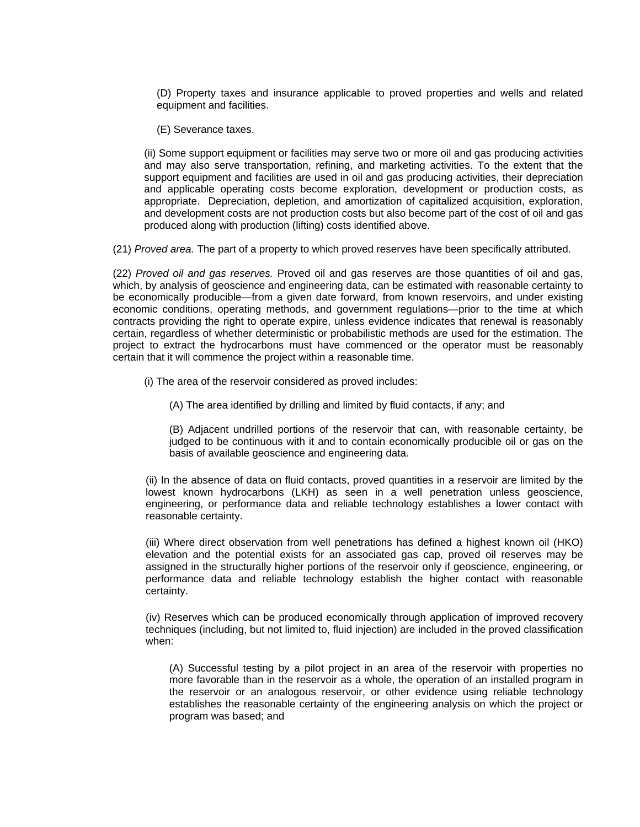(D) Property taxes and insurance applicable to proved properties and wells and related equipment and facilities.

(E) Severance taxes.

(ii) Some support equipment or facilities may serve two or more oil and gas producing activities and may also serve transportation, refining, and marketing activities. To the extent that the support equipment and facilities are used in oil and gas producing activities, their depreciation and applicable operating costs become exploration, development or production costs, as appropriate. Depreciation, depletion, and amortization of capitalized acquisition, exploration, and development costs are not production costs but also become part of the cost of oil and gas produced along with production (lifting) costs identified above.

(21) *Proved area.* The part of a property to which proved reserves have been specifically attributed.

(22) *Proved oil and gas reserves.* Proved oil and gas reserves are those quantities of oil and gas, which, by analysis of geoscience and engineering data, can be estimated with reasonable certainty to be economically producible—from a given date forward, from known reservoirs, and under existing economic conditions, operating methods, and government regulations—prior to the time at which contracts providing the right to operate expire, unless evidence indicates that renewal is reasonably certain, regardless of whether deterministic or probabilistic methods are used for the estimation. The project to extract the hydrocarbons must have commenced or the operator must be reasonably certain that it will commence the project within a reasonable time.

- (i) The area of the reservoir considered as proved includes:
	- (A) The area identified by drilling and limited by fluid contacts, if any; and

(B) Adjacent undrilled portions of the reservoir that can, with reasonable certainty, be judged to be continuous with it and to contain economically producible oil or gas on the basis of available geoscience and engineering data.

(ii) In the absence of data on fluid contacts, proved quantities in a reservoir are limited by the lowest known hydrocarbons (LKH) as seen in a well penetration unless geoscience, engineering, or performance data and reliable technology establishes a lower contact with reasonable certainty.

(iii) Where direct observation from well penetrations has defined a highest known oil (HKO) elevation and the potential exists for an associated gas cap, proved oil reserves may be assigned in the structurally higher portions of the reservoir only if geoscience, engineering, or performance data and reliable technology establish the higher contact with reasonable certainty.

(iv) Reserves which can be produced economically through application of improved recovery techniques (including, but not limited to, fluid injection) are included in the proved classification when:

(A) Successful testing by a pilot project in an area of the reservoir with properties no more favorable than in the reservoir as a whole, the operation of an installed program in the reservoir or an analogous reservoir, or other evidence using reliable technology establishes the reasonable certainty of the engineering analysis on which the project or program was based; and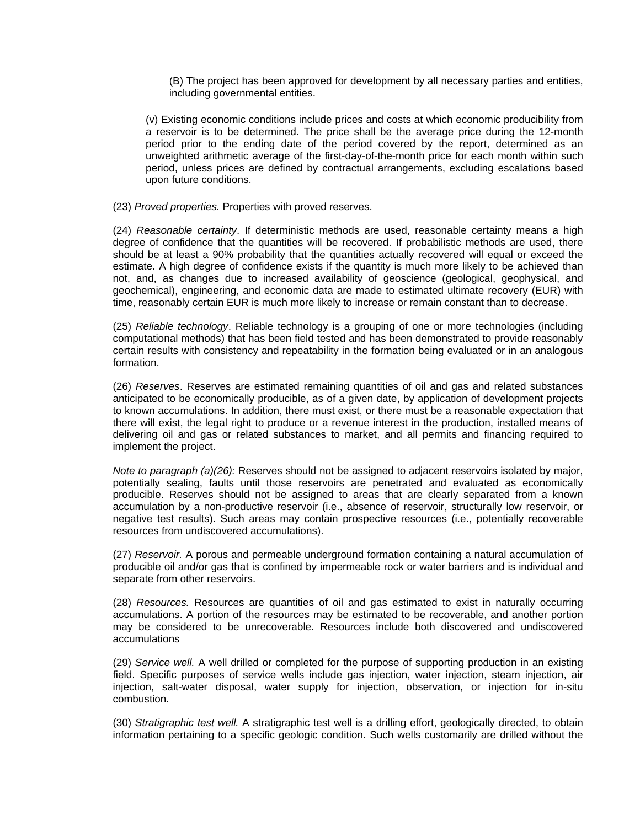(B) The project has been approved for development by all necessary parties and entities, including governmental entities.

(v) Existing economic conditions include prices and costs at which economic producibility from a reservoir is to be determined. The price shall be the average price during the 12-month period prior to the ending date of the period covered by the report, determined as an unweighted arithmetic average of the first-day-of-the-month price for each month within such period, unless prices are defined by contractual arrangements, excluding escalations based upon future conditions.

(23) *Proved properties.* Properties with proved reserves.

(24) *Reasonable certainty*. If deterministic methods are used, reasonable certainty means a high degree of confidence that the quantities will be recovered. If probabilistic methods are used, there should be at least a 90% probability that the quantities actually recovered will equal or exceed the estimate. A high degree of confidence exists if the quantity is much more likely to be achieved than not, and, as changes due to increased availability of geoscience (geological, geophysical, and geochemical), engineering, and economic data are made to estimated ultimate recovery (EUR) with time, reasonably certain EUR is much more likely to increase or remain constant than to decrease.

(25) *Reliable technology*. Reliable technology is a grouping of one or more technologies (including computational methods) that has been field tested and has been demonstrated to provide reasonably certain results with consistency and repeatability in the formation being evaluated or in an analogous formation.

(26) *Reserves*. Reserves are estimated remaining quantities of oil and gas and related substances anticipated to be economically producible, as of a given date, by application of development projects to known accumulations. In addition, there must exist, or there must be a reasonable expectation that there will exist, the legal right to produce or a revenue interest in the production, installed means of delivering oil and gas or related substances to market, and all permits and financing required to implement the project.

*Note to paragraph (a)(26):* Reserves should not be assigned to adjacent reservoirs isolated by major, potentially sealing, faults until those reservoirs are penetrated and evaluated as economically producible. Reserves should not be assigned to areas that are clearly separated from a known accumulation by a non-productive reservoir (i.e., absence of reservoir, structurally low reservoir, or negative test results). Such areas may contain prospective resources (i.e., potentially recoverable resources from undiscovered accumulations).

(27) *Reservoir.* A porous and permeable underground formation containing a natural accumulation of producible oil and/or gas that is confined by impermeable rock or water barriers and is individual and separate from other reservoirs.

(28) *Resources.* Resources are quantities of oil and gas estimated to exist in naturally occurring accumulations. A portion of the resources may be estimated to be recoverable, and another portion may be considered to be unrecoverable. Resources include both discovered and undiscovered accumulations

(29) *Service well.* A well drilled or completed for the purpose of supporting production in an existing field. Specific purposes of service wells include gas injection, water injection, steam injection, air injection, salt-water disposal, water supply for injection, observation, or injection for in-situ combustion.

(30) *Stratigraphic test well.* A stratigraphic test well is a drilling effort, geologically directed, to obtain information pertaining to a specific geologic condition. Such wells customarily are drilled without the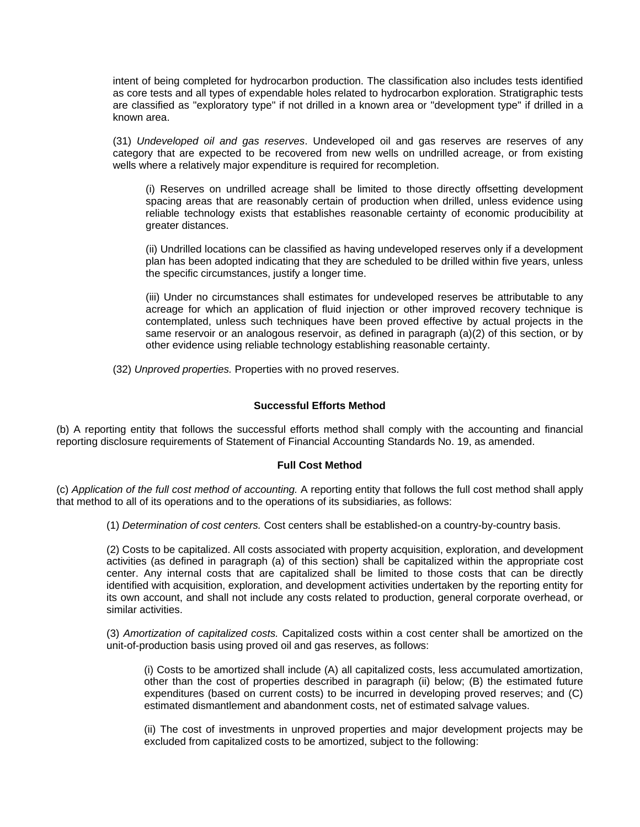intent of being completed for hydrocarbon production. The classification also includes tests identified as core tests and all types of expendable holes related to hydrocarbon exploration. Stratigraphic tests are classified as "exploratory type" if not drilled in a known area or "development type" if drilled in a known area.

(31) *Undeveloped oil and gas reserves*. Undeveloped oil and gas reserves are reserves of any category that are expected to be recovered from new wells on undrilled acreage, or from existing wells where a relatively major expenditure is required for recompletion.

(i) Reserves on undrilled acreage shall be limited to those directly offsetting development spacing areas that are reasonably certain of production when drilled, unless evidence using reliable technology exists that establishes reasonable certainty of economic producibility at greater distances.

(ii) Undrilled locations can be classified as having undeveloped reserves only if a development plan has been adopted indicating that they are scheduled to be drilled within five years, unless the specific circumstances, justify a longer time.

(iii) Under no circumstances shall estimates for undeveloped reserves be attributable to any acreage for which an application of fluid injection or other improved recovery technique is contemplated, unless such techniques have been proved effective by actual projects in the same reservoir or an analogous reservoir, as defined in paragraph (a)(2) of this section, or by other evidence using reliable technology establishing reasonable certainty.

(32) *Unproved properties.* Properties with no proved reserves.

# **Successful Efforts Method**

(b) A reporting entity that follows the successful efforts method shall comply with the accounting and financial reporting disclosure requirements of Statement of Financial Accounting Standards No. 19, as amended.

### **Full Cost Method**

(c) *Application of the full cost method of accounting.* A reporting entity that follows the full cost method shall apply that method to all of its operations and to the operations of its subsidiaries, as follows:

(1) *Determination of cost centers.* Cost centers shall be established-on a country-by-country basis.

(2) Costs to be capitalized. All costs associated with property acquisition, exploration, and development activities (as defined in paragraph (a) of this section) shall be capitalized within the appropriate cost center. Any internal costs that are capitalized shall be limited to those costs that can be directly identified with acquisition, exploration, and development activities undertaken by the reporting entity for its own account, and shall not include any costs related to production, general corporate overhead, or similar activities.

(3) *Amortization of capitalized costs.* Capitalized costs within a cost center shall be amortized on the unit-of-production basis using proved oil and gas reserves, as follows:

(i) Costs to be amortized shall include (A) all capitalized costs, less accumulated amortization, other than the cost of properties described in paragraph (ii) below; (B) the estimated future expenditures (based on current costs) to be incurred in developing proved reserves; and (C) estimated dismantlement and abandonment costs, net of estimated salvage values.

(ii) The cost of investments in unproved properties and major development projects may be excluded from capitalized costs to be amortized, subject to the following: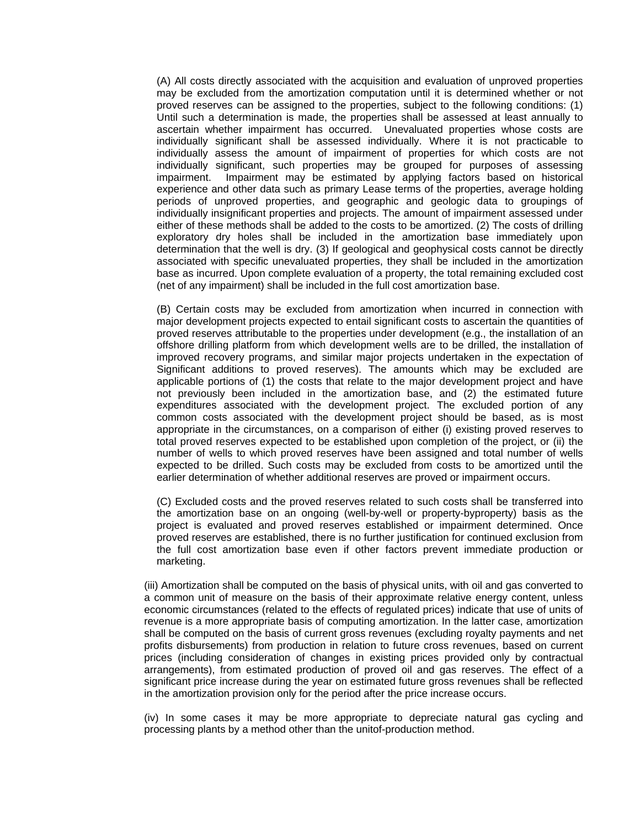(A) All costs directly associated with the acquisition and evaluation of unproved properties may be excluded from the amortization computation until it is determined whether or not proved reserves can be assigned to the properties, subject to the following conditions: (1) Until such a determination is made, the properties shall be assessed at least annually to ascertain whether impairment has occurred. Unevaluated properties whose costs are individually significant shall be assessed individually. Where it is not practicable to individually assess the amount of impairment of properties for which costs are not individually significant, such properties may be grouped for purposes of assessing impairment. Impairment may be estimated by applying factors based on historical experience and other data such as primary Lease terms of the properties, average holding periods of unproved properties, and geographic and geologic data to groupings of individually insignificant properties and projects. The amount of impairment assessed under either of these methods shall be added to the costs to be amortized. (2) The costs of drilling exploratory dry holes shall be included in the amortization base immediately upon determination that the well is dry. (3) If geological and geophysical costs cannot be directly associated with specific unevaluated properties, they shall be included in the amortization base as incurred. Upon complete evaluation of a property, the total remaining excluded cost (net of any impairment) shall be included in the full cost amortization base.

(B) Certain costs may be excluded from amortization when incurred in connection with major development projects expected to entail significant costs to ascertain the quantities of proved reserves attributable to the properties under development (e.g., the installation of an offshore drilling platform from which development wells are to be drilled, the installation of improved recovery programs, and similar major projects undertaken in the expectation of Significant additions to proved reserves). The amounts which may be excluded are applicable portions of (1) the costs that relate to the major development project and have not previously been included in the amortization base, and (2) the estimated future expenditures associated with the development project. The excluded portion of any common costs associated with the development project should be based, as is most appropriate in the circumstances, on a comparison of either (i) existing proved reserves to total proved reserves expected to be established upon completion of the project, or (ii) the number of wells to which proved reserves have been assigned and total number of wells expected to be drilled. Such costs may be excluded from costs to be amortized until the earlier determination of whether additional reserves are proved or impairment occurs.

(C) Excluded costs and the proved reserves related to such costs shall be transferred into the amortization base on an ongoing (well-by-well or property-byproperty) basis as the project is evaluated and proved reserves established or impairment determined. Once proved reserves are established, there is no further justification for continued exclusion from the full cost amortization base even if other factors prevent immediate production or marketing.

(iii) Amortization shall be computed on the basis of physical units, with oil and gas converted to a common unit of measure on the basis of their approximate relative energy content, unless economic circumstances (related to the effects of regulated prices) indicate that use of units of revenue is a more appropriate basis of computing amortization. In the latter case, amortization shall be computed on the basis of current gross revenues (excluding royalty payments and net profits disbursements) from production in relation to future cross revenues, based on current prices (including consideration of changes in existing prices provided only by contractual arrangements), from estimated production of proved oil and gas reserves. The effect of a significant price increase during the year on estimated future gross revenues shall be reflected in the amortization provision only for the period after the price increase occurs.

(iv) In some cases it may be more appropriate to depreciate natural gas cycling and processing plants by a method other than the unitof-production method.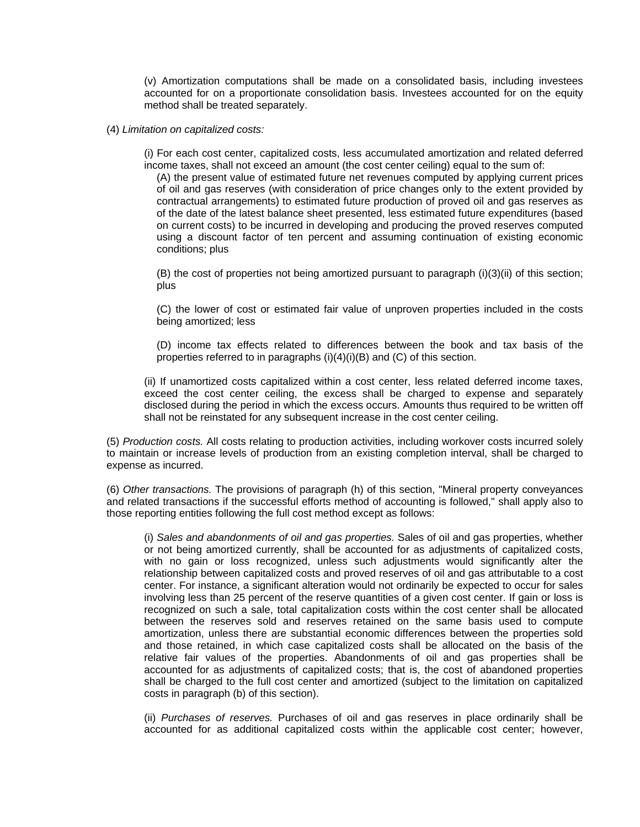(v) Amortization computations shall be made on a consolidated basis, including investees accounted for on a proportionate consolidation basis. Investees accounted for on the equity method shall be treated separately.

- (4) *Limitation on capitalized costs:* 
	- (i) For each cost center, capitalized costs, less accumulated amortization and related deferred income taxes, shall not exceed an amount (the cost center ceiling) equal to the sum of:

(A) the present value of estimated future net revenues computed by applying current prices of oil and gas reserves (with consideration of price changes only to the extent provided by contractual arrangements) to estimated future production of proved oil and gas reserves as of the date of the latest balance sheet presented, less estimated future expenditures (based on current costs) to be incurred in developing and producing the proved reserves computed using a discount factor of ten percent and assuming continuation of existing economic conditions; plus

(B) the cost of properties not being amortized pursuant to paragraph (i)(3)(ii) of this section; plus

(C) the lower of cost or estimated fair value of unproven properties included in the costs being amortized; less

(D) income tax effects related to differences between the book and tax basis of the properties referred to in paragraphs (i)(4)(i)(B) and (C) of this section.

(ii) If unamortized costs capitalized within a cost center, less related deferred income taxes, exceed the cost center ceiling, the excess shall be charged to expense and separately disclosed during the period in which the excess occurs. Amounts thus required to be written off shall not be reinstated for any subsequent increase in the cost center ceiling.

(5) *Production costs.* All costs relating to production activities, including workover costs incurred solely to maintain or increase levels of production from an existing completion interval, shall be charged to expense as incurred.

(6) *Other transactions.* The provisions of paragraph (h) of this section, "Mineral property conveyances and related transactions if the successful efforts method of accounting is followed," shall apply also to those reporting entities following the full cost method except as follows:

(i) *Sales and abandonments of oil and gas properties.* Sales of oil and gas properties, whether or not being amortized currently, shall be accounted for as adjustments of capitalized costs, with no gain or loss recognized, unless such adjustments would significantly alter the relationship between capitalized costs and proved reserves of oil and gas attributable to a cost center. For instance, a significant alteration would not ordinarily be expected to occur for sales involving less than 25 percent of the reserve quantities of a given cost center. If gain or loss is recognized on such a sale, total capitalization costs within the cost center shall be allocated between the reserves sold and reserves retained on the same basis used to compute amortization, unless there are substantial economic differences between the properties sold and those retained, in which case capitalized costs shall be allocated on the basis of the relative fair values of the properties. Abandonments of oil and gas properties shall be accounted for as adjustments of capitalized costs; that is, the cost of abandoned properties shall be charged to the full cost center and amortized (subject to the limitation on capitalized costs in paragraph (b) of this section).

(ii) *Purchases of reserves.* Purchases of oil and gas reserves in place ordinarily shall be accounted for as additional capitalized costs within the applicable cost center; however,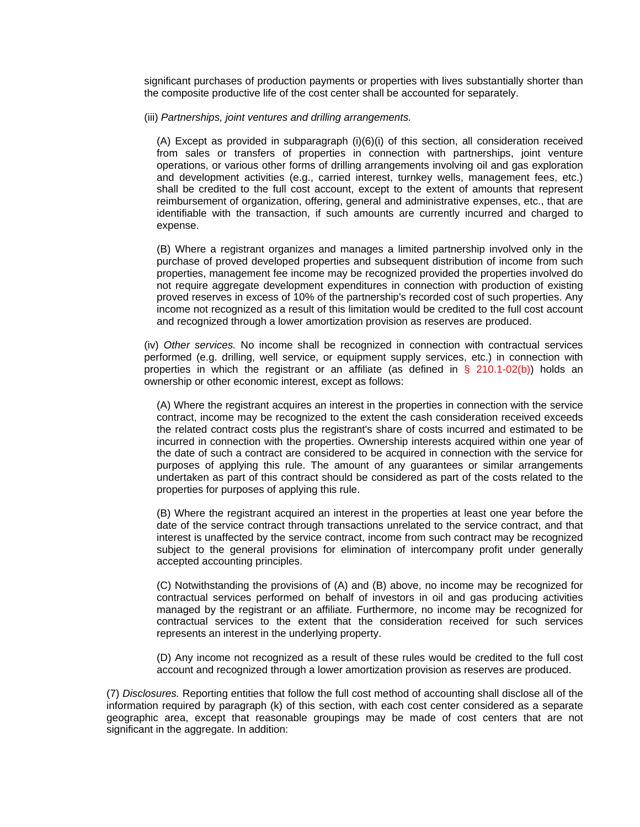significant purchases of production payments or properties with lives substantially shorter than the composite productive life of the cost center shall be accounted for separately.

### (iii) *Partnerships, joint ventures and drilling arrangements.*

(A) Except as provided in subparagraph (i)(6)(i) of this section, all consideration received from sales or transfers of properties in connection with partnerships, joint venture operations, or various other forms of drilling arrangements involving oil and gas exploration and development activities (e.g., carried interest, turnkey wells, management fees, etc.) shall be credited to the full cost account, except to the extent of amounts that represent reimbursement of organization, offering, general and administrative expenses, etc., that are identifiable with the transaction, if such amounts are currently incurred and charged to expense.

(B) Where a registrant organizes and manages a limited partnership involved only in the purchase of proved developed properties and subsequent distribution of income from such properties, management fee income may be recognized provided the properties involved do not require aggregate development expenditures in connection with production of existing proved reserves in excess of 10% of the partnership's recorded cost of such properties. Any income not recognized as a result of this limitation would be credited to the full cost account and recognized through a lower amortization provision as reserves are produced.

(iv) *Other services.* No income shall be recognized in connection with contractual services performed (e.g. drilling, well service, or equipment supply services, etc.) in connection with properties in which the registrant or an affiliate (as defined in § 210.1-02(b)) holds an ownership or other economic interest, except as follows:

(A) Where the registrant acquires an interest in the properties in connection with the service contract, income may be recognized to the extent the cash consideration received exceeds the related contract costs plus the registrant's share of costs incurred and estimated to be incurred in connection with the properties. Ownership interests acquired within one year of the date of such a contract are considered to be acquired in connection with the service for purposes of applying this rule. The amount of any guarantees or similar arrangements undertaken as part of this contract should be considered as part of the costs related to the properties for purposes of applying this rule.

(B) Where the registrant acquired an interest in the properties at least one year before the date of the service contract through transactions unrelated to the service contract, and that interest is unaffected by the service contract, income from such contract may be recognized subject to the general provisions for elimination of intercompany profit under generally accepted accounting principles.

(C) Notwithstanding the provisions of (A) and (B) above, no income may be recognized for contractual services performed on behalf of investors in oil and gas producing activities managed by the registrant or an affiliate. Furthermore, no income may be recognized for contractual services to the extent that the consideration received for such services represents an interest in the underlying property.

(D) Any income not recognized as a result of these rules would be credited to the full cost account and recognized through a lower amortization provision as reserves are produced.

(7) *Disclosures.* Reporting entities that follow the full cost method of accounting shall disclose all of the information required by paragraph (k) of this section, with each cost center considered as a separate geographic area, except that reasonable groupings may be made of cost centers that are not significant in the aggregate. In addition: